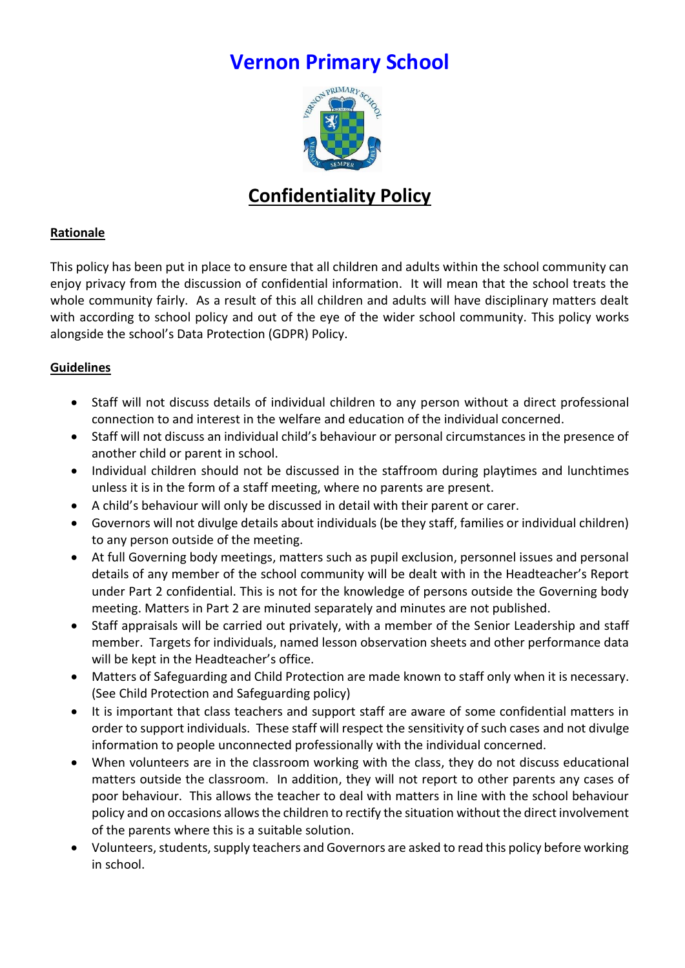# **Vernon Primary School**



## **Confidentiality Policy**

#### **Rationale**

This policy has been put in place to ensure that all children and adults within the school community can enjoy privacy from the discussion of confidential information. It will mean that the school treats the whole community fairly. As a result of this all children and adults will have disciplinary matters dealt with according to school policy and out of the eye of the wider school community. This policy works alongside the school's Data Protection (GDPR) Policy.

#### **Guidelines**

- Staff will not discuss details of individual children to any person without a direct professional connection to and interest in the welfare and education of the individual concerned.
- Staff will not discuss an individual child's behaviour or personal circumstances in the presence of another child or parent in school.
- Individual children should not be discussed in the staffroom during playtimes and lunchtimes unless it is in the form of a staff meeting, where no parents are present.
- A child's behaviour will only be discussed in detail with their parent or carer.
- Governors will not divulge details about individuals (be they staff, families or individual children) to any person outside of the meeting.
- At full Governing body meetings, matters such as pupil exclusion, personnel issues and personal details of any member of the school community will be dealt with in the Headteacher's Report under Part 2 confidential. This is not for the knowledge of persons outside the Governing body meeting. Matters in Part 2 are minuted separately and minutes are not published.
- Staff appraisals will be carried out privately, with a member of the Senior Leadership and staff member. Targets for individuals, named lesson observation sheets and other performance data will be kept in the Headteacher's office.
- Matters of Safeguarding and Child Protection are made known to staff only when it is necessary. (See Child Protection and Safeguarding policy)
- It is important that class teachers and support staff are aware of some confidential matters in order to support individuals. These staff will respect the sensitivity of such cases and not divulge information to people unconnected professionally with the individual concerned.
- When volunteers are in the classroom working with the class, they do not discuss educational matters outside the classroom. In addition, they will not report to other parents any cases of poor behaviour. This allows the teacher to deal with matters in line with the school behaviour policy and on occasions allows the children to rectify the situation without the direct involvement of the parents where this is a suitable solution.
- Volunteers, students, supply teachers and Governors are asked to read this policy before working in school.